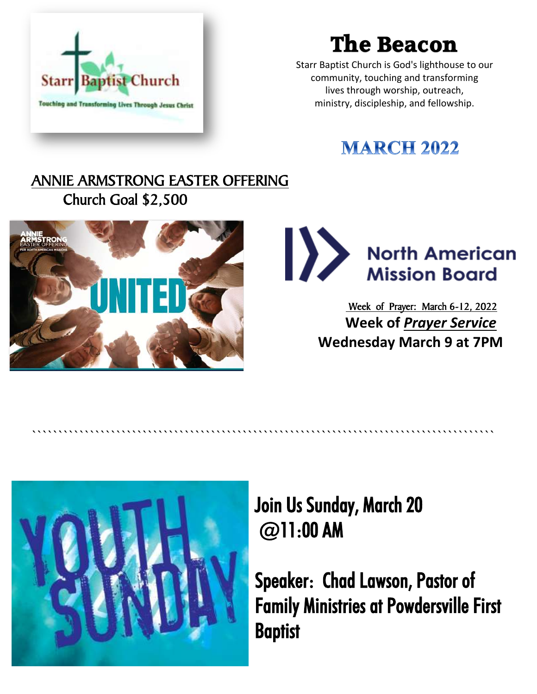

# **The Beacon**

Starr Baptist Church is God's lighthouse to our community, touching and transforming lives through worship, outreach, ministry, discipleship, and fellowship.

## **MARCH 2022**

### ANNIE ARMSTRONG EASTER OFFERING Church Goal \$2,500





 Week of Prayer: March 6-12, 2022 **Week of** *Prayer Service* **Wednesday March 9 at 7PM**



Join Us Sunday, March 20 @11:00 AM

````````````````````````````````````````````````````````````````````````````````````````

Speaker: Chad Lawson, Pastor of Family Ministries at Powdersville First **Baptist**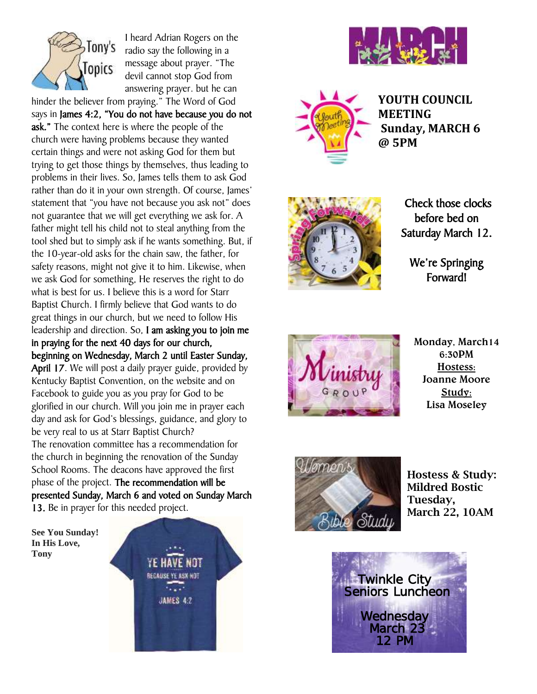

I heard Adrian Rogers on the radio say the following in a message about prayer. "The devil cannot stop God from answering prayer. but he can hinder the believer from praying." The Word of God

says in James 4:2, "You do not have because you do not ask." The context here is where the people of the church were having problems because they wanted certain things and were not asking God for them but trying to get those things by themselves, thus leading to problems in their lives. So, James tells them to ask God rather than do it in your own strength. Of course, James' statement that "you have not because you ask not" does not guarantee that we will get everything we ask for. A father might tell his child not to steal anything from the tool shed but to simply ask if he wants something. But, if the 10-year-old asks for the chain saw, the father, for safety reasons, might not give it to him. Likewise, when we ask God for something, He reserves the right to do what is best for us. I believe this is a word for Starr Baptist Church. I firmly believe that God wants to do great things in our church, but we need to follow His leadership and direction. So, I am asking you to join me in praying for the next 40 days for our church, beginning on Wednesday, March 2 until Easter Sunday, April 17. We will post a daily prayer guide, provided by Kentucky Baptist Convention, on the website and on Facebook to guide you as you pray for God to be glorified in our church. Will you join me in prayer each day and ask for God's blessings, guidance, and glory to be very real to us at Starr Baptist Church? The renovation committee has a recommendation for the church in beginning the renovation of the Sunday School Rooms. The deacons have approved the first phase of the project. The recommendation will be presented Sunday, March 6 and voted on Sunday March 13. Be in prayer for this needed project.

**See You Sunday! In His Love, Tony**







**YOUTH COUNCIL MEETING Sunday, MARCH 6 @ 5PM**



 Check those clocks before bed on Saturday March 12.

We're Springing Forward!



**Monday, March14 6:30PM Hostess: Joanne Moore Study: Lisa Moseley**



**Hostess & Study: Mildred Bostic Tuesday, March 22, 10AM**